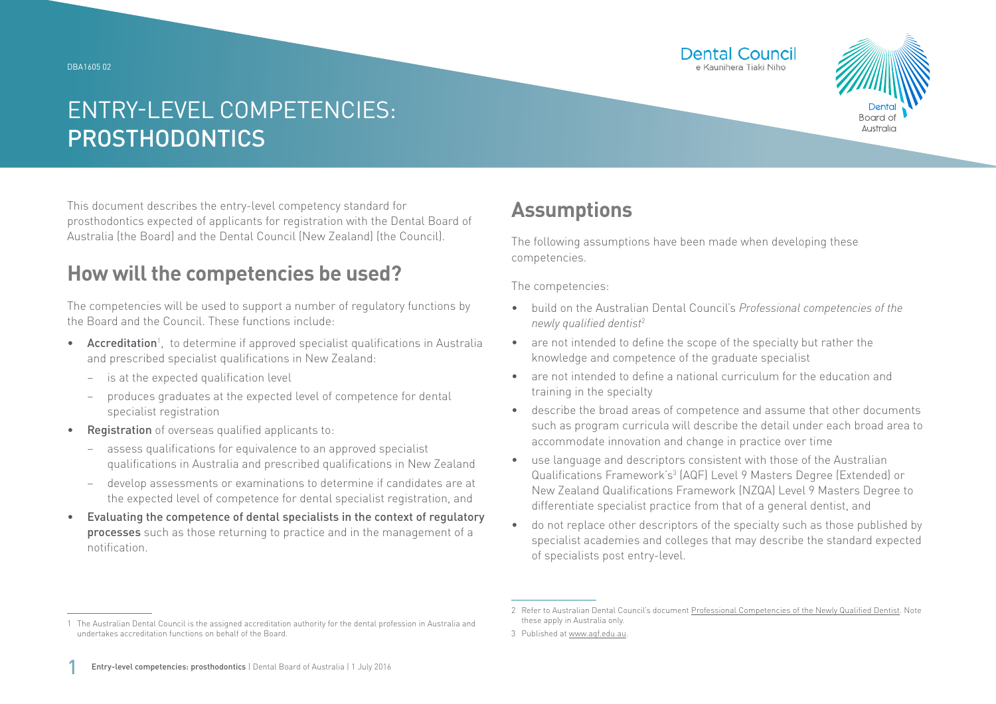DBA1605 02





## ENTRY-LEVEL COMPETENCIES: PROSTHODONTICS

This document describes the entry-level competency standard for prosthodontics expected of applicants for registration with the Dental Board of Australia (the Board) and the Dental Council (New Zealand) (the Council).

### **How will the competencies be used?**

The competencies will be used to support a number of regulatory functions by the Board and the Council. These functions include:

- Accreditation<sup>1</sup>, to determine if approved specialist qualifications in Australia and prescribed specialist qualifications in New Zealand:
	- − is at the expected qualification level
	- − produces graduates at the expected level of competence for dental specialist registration
- Registration of overseas qualified applicants to:
	- − assess qualifications for equivalence to an approved specialist qualifications in Australia and prescribed qualifications in New Zealand
	- − develop assessments or examinations to determine if candidates are at the expected level of competence for dental specialist registration, and
- Evaluating the competence of dental specialists in the context of regulatory processes such as those returning to practice and in the management of a notification.

### **Assumptions**

The following assumptions have been made when developing these competencies.

The competencies:

- build on the Australian Dental Council's *Professional competencies of the newly qualified dentist*<sup>2</sup>
- are not intended to define the scope of the specialty but rather the knowledge and competence of the graduate specialist
- are not intended to define a national curriculum for the education and training in the specialty
- describe the broad areas of competence and assume that other documents such as program curricula will describe the detail under each broad area to accommodate innovation and change in practice over time
- use language and descriptors consistent with those of the Australian Qualifications Framework's<sup>3</sup> (AQF) Level 9 Masters Degree (Extended) or New Zealand Qualifications Framework (NZQA) Level 9 Masters Degree to differentiate specialist practice from that of a general dentist, and
- do not replace other descriptors of the specialty such as those published by specialist academies and colleges that may describe the standard expected of specialists post entry-level.

<sup>1</sup> The Australian Dental Council is the assigned accreditation authority for the dental profession in Australia and undertakes accreditation functions on behalf of the Board.

<sup>2</sup> Refer to Australian Dental Council's document [Professional Competencies of the Newly Qualified Dentist.](http://Professional Competencies of the Newly Qualified Dentist) Note these apply in Australia only.

<sup>3</sup> Published at [www.aqf.edu.au](http://www.aqf.edu.au).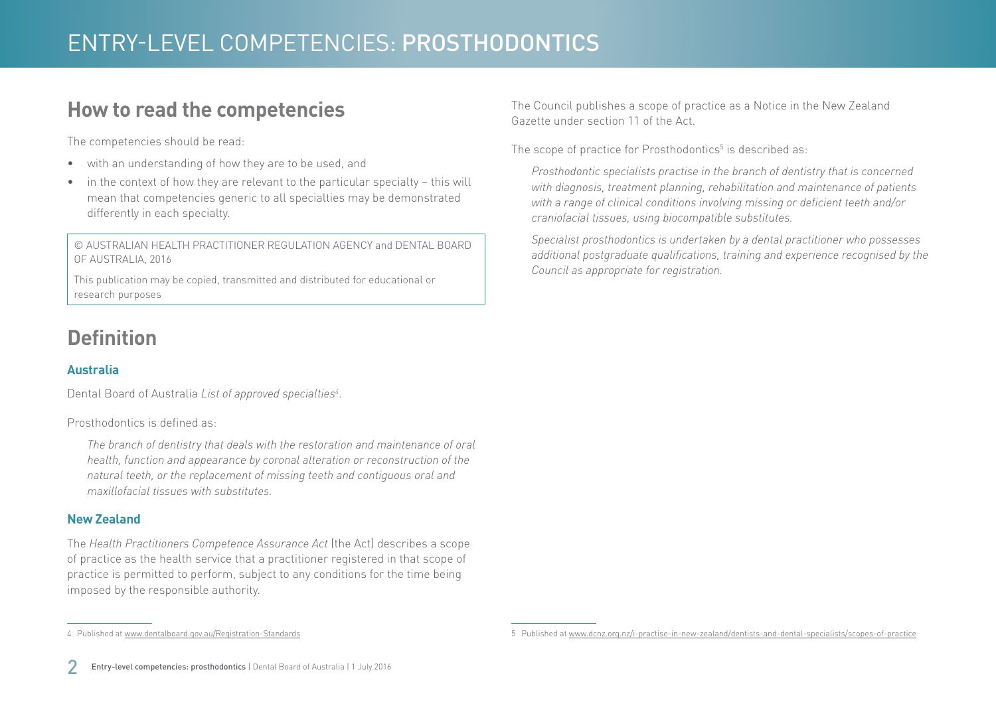### **How to read the competencies**

The competencies should be read:

- with an understanding of how they are to be used, and
- in the context of how they are relevant to the particular specialty this will mean that competencies generic to all specialties may be demonstrated differently in each specialty.

© AUSTRALIAN HEALTH PRACTITIONER REGULATION AGENCY and DENTAL BOARD OF AUSTRALIA, 2016

This publication may be copied, transmitted and distributed for educational or research purposes

# **Definition**

### **Australia**

Dental Board of Australia *List of approved specialties4* .

Prosthodontics is defined as:

*The branch of dentistry that deals with the restoration and maintenance of oral health, function and appearance by coronal alteration or reconstruction of the natural teeth, or the replacement of missing teeth and contiguous oral and maxillofacial tissues with substitutes.*

#### **New Zealand**

The *Health Practitioners Competence Assurance Act* (the Act) describes a scope of practice as the health service that a practitioner registered in that scope of practice is permitted to perform, subject to any conditions for the time being imposed by the responsible authority.

4 Published at [www.dentalboard.gov.au/Registration-Standards](http://www.dentalboard.gov.au/Registration-Standards.aspx)

The Council publishes a scope of practice as a Notice in the New Zealand Gazette under section 11 of the Act.

The scope of practice for Prosthodontics $5$  is described as:

*Prosthodontic specialists practise in the branch of dentistry that is concerned with diagnosis, treatment planning, rehabilitation and maintenance of patients with a range of clinical conditions involving missing or deficient teeth and/or craniofacial tissues, using biocompatible substitutes.*

*Specialist prosthodontics is undertaken by a dental practitioner who possesses additional postgraduate qualifications, training and experience recognised by the Council as appropriate for registration.*

<sup>5</sup> Published at [www.dcnz.org.nz/i-practise-in-new-zealand/dentists-and-dental-specialists/scopes-of-practice](http://www.dcnz.org.nz/i-practise-in-new-zealand/dentists-and-dental-specialists/scopes-of-practice)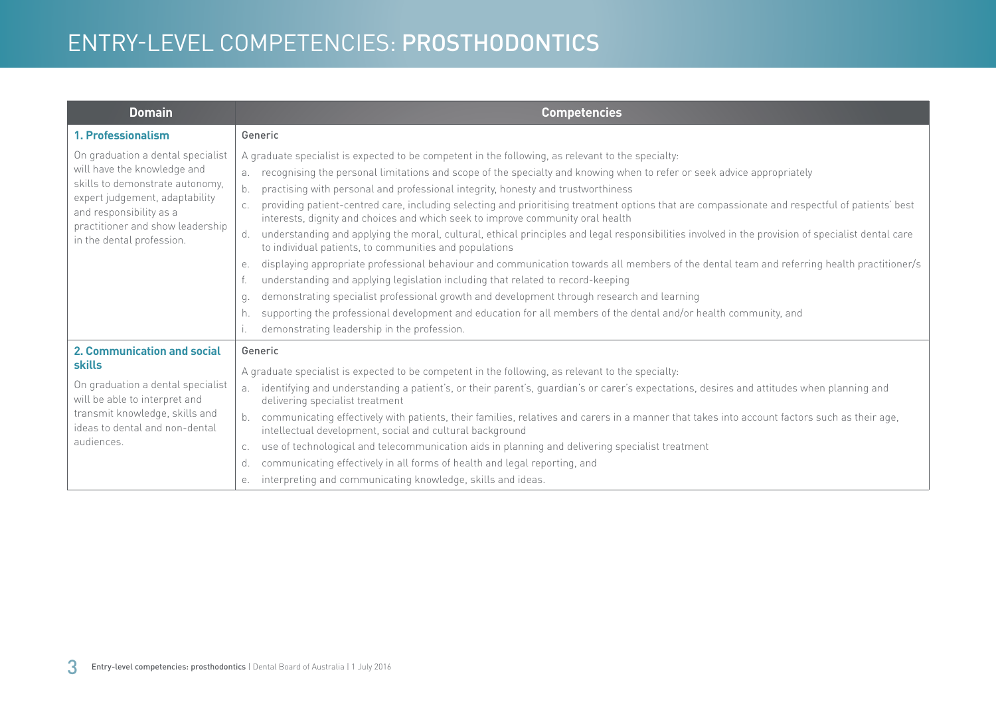| <b>Domain</b>                                                                                                                                                                                                                     | <b>Competencies</b>                                                                                                                                                                                                                                                                                                                                                                                                                                                                                                                                                                                                                                                                                                                                                                                                                                                                                                                                                                                                                                                                                                                                                                                                                                                                                |
|-----------------------------------------------------------------------------------------------------------------------------------------------------------------------------------------------------------------------------------|----------------------------------------------------------------------------------------------------------------------------------------------------------------------------------------------------------------------------------------------------------------------------------------------------------------------------------------------------------------------------------------------------------------------------------------------------------------------------------------------------------------------------------------------------------------------------------------------------------------------------------------------------------------------------------------------------------------------------------------------------------------------------------------------------------------------------------------------------------------------------------------------------------------------------------------------------------------------------------------------------------------------------------------------------------------------------------------------------------------------------------------------------------------------------------------------------------------------------------------------------------------------------------------------------|
| 1. Professionalism                                                                                                                                                                                                                | Generic                                                                                                                                                                                                                                                                                                                                                                                                                                                                                                                                                                                                                                                                                                                                                                                                                                                                                                                                                                                                                                                                                                                                                                                                                                                                                            |
| On graduation a dental specialist<br>will have the knowledge and<br>skills to demonstrate autonomy,<br>expert judgement, adaptability<br>and responsibility as a<br>practitioner and show leadership<br>in the dental profession. | A graduate specialist is expected to be competent in the following, as relevant to the specialty:<br>recognising the personal limitations and scope of the specialty and knowing when to refer or seek advice appropriately<br>a.<br>practising with personal and professional integrity, honesty and trustworthiness<br>providing patient-centred care, including selecting and prioritising treatment options that are compassionate and respectful of patients' best<br>interests, dignity and choices and which seek to improve community oral health<br>understanding and applying the moral, cultural, ethical principles and legal responsibilities involved in the provision of specialist dental care<br>d.<br>to individual patients, to communities and populations<br>displaying appropriate professional behaviour and communication towards all members of the dental team and referring health practitioner/s<br>е.<br>understanding and applying legislation including that related to record-keeping<br>demonstrating specialist professional growth and development through research and learning<br>q.<br>supporting the professional development and education for all members of the dental and/or health community, and<br>h.<br>demonstrating leadership in the profession. |
| 2. Communication and social<br><b>skills</b><br>On graduation a dental specialist<br>will be able to interpret and<br>transmit knowledge, skills and<br>ideas to dental and non-dental<br>audiences.                              | Generic<br>A graduate specialist is expected to be competent in the following, as relevant to the specialty:<br>identifying and understanding a patient's, or their parent's, guardian's or carer's expectations, desires and attitudes when planning and<br>a.<br>delivering specialist treatment<br>communicating effectively with patients, their families, relatives and carers in a manner that takes into account factors such as their age,<br>b.<br>intellectual development, social and cultural background<br>use of technological and telecommunication aids in planning and delivering specialist treatment<br>C.<br>communicating effectively in all forms of health and legal reporting, and<br>d.<br>interpreting and communicating knowledge, skills and ideas.<br>е.                                                                                                                                                                                                                                                                                                                                                                                                                                                                                                              |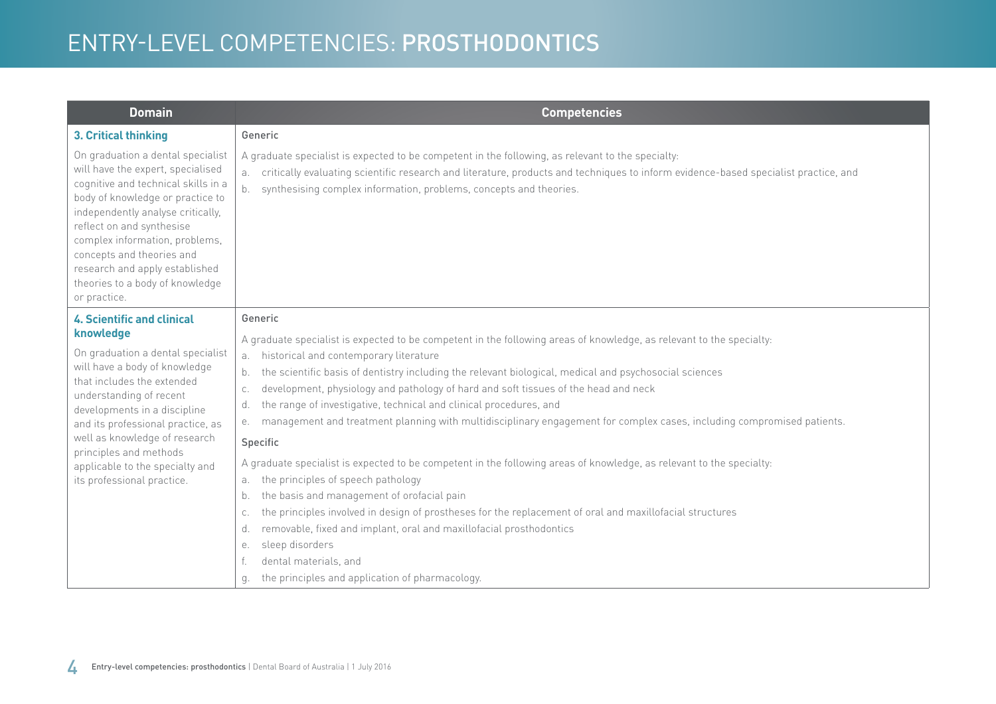| <b>Domain</b>                                                                                                                                                                                                                                                                                                                                                                  | <b>Competencies</b>                                                                                                                                                                                                                                                                                                                                                                                                                                                                                                                                                                                                                                                                                                                                                           |
|--------------------------------------------------------------------------------------------------------------------------------------------------------------------------------------------------------------------------------------------------------------------------------------------------------------------------------------------------------------------------------|-------------------------------------------------------------------------------------------------------------------------------------------------------------------------------------------------------------------------------------------------------------------------------------------------------------------------------------------------------------------------------------------------------------------------------------------------------------------------------------------------------------------------------------------------------------------------------------------------------------------------------------------------------------------------------------------------------------------------------------------------------------------------------|
| 3. Critical thinking                                                                                                                                                                                                                                                                                                                                                           | Generic                                                                                                                                                                                                                                                                                                                                                                                                                                                                                                                                                                                                                                                                                                                                                                       |
| On graduation a dental specialist<br>will have the expert, specialised<br>cognitive and technical skills in a<br>body of knowledge or practice to<br>independently analyse critically,<br>reflect on and synthesise<br>complex information, problems,<br>concepts and theories and<br>research and apply established<br>theories to a body of knowledge<br>or practice.        | A graduate specialist is expected to be competent in the following, as relevant to the specialty:<br>critically evaluating scientific research and literature, products and techniques to inform evidence-based specialist practice, and<br>а.<br>synthesising complex information, problems, concepts and theories.<br>b.                                                                                                                                                                                                                                                                                                                                                                                                                                                    |
| <b>4. Scientific and clinical</b><br>knowledge<br>On graduation a dental specialist<br>will have a body of knowledge<br>that includes the extended<br>understanding of recent<br>developments in a discipline<br>and its professional practice, as<br>well as knowledge of research<br>principles and methods<br>applicable to the specialty and<br>its professional practice. | Generic                                                                                                                                                                                                                                                                                                                                                                                                                                                                                                                                                                                                                                                                                                                                                                       |
|                                                                                                                                                                                                                                                                                                                                                                                | A graduate specialist is expected to be competent in the following areas of knowledge, as relevant to the specialty:<br>historical and contemporary literature<br>а.<br>the scientific basis of dentistry including the relevant biological, medical and psychosocial sciences<br>b.<br>development, physiology and pathology of hard and soft tissues of the head and neck<br>C.<br>the range of investigative, technical and clinical procedures, and<br>d.<br>management and treatment planning with multidisciplinary engagement for complex cases, including compromised patients.<br>е.<br>Specific<br>A graduate specialist is expected to be competent in the following areas of knowledge, as relevant to the specialty:<br>the principles of speech pathology<br>a. |
|                                                                                                                                                                                                                                                                                                                                                                                | the basis and management of orofacial pain<br>b.<br>the principles involved in design of prostheses for the replacement of oral and maxillofacial structures<br>C.<br>removable, fixed and implant, oral and maxillofacial prosthodontics<br>d.<br>sleep disorders<br>е.<br>dental materials, and<br>the principles and application of pharmacology.<br>q.                                                                                                                                                                                                                                                                                                                                                                                                                    |